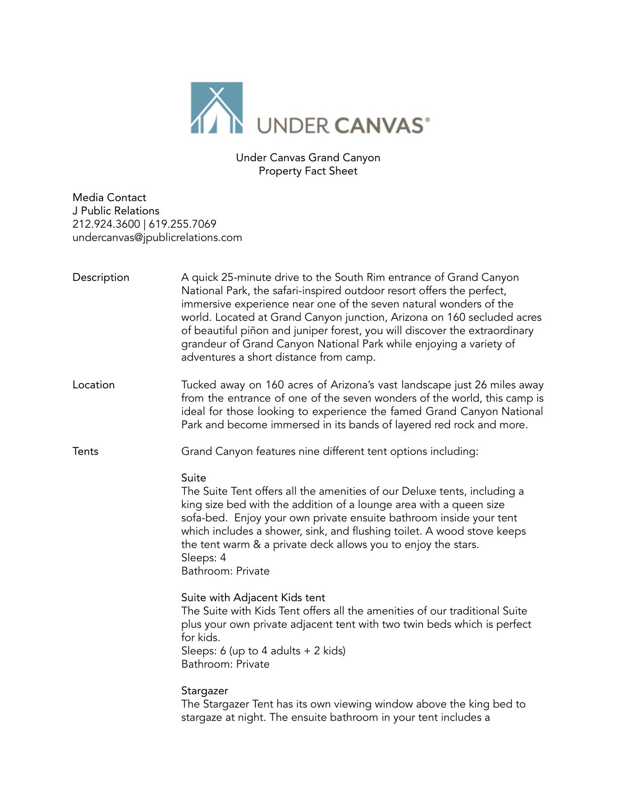

Under Canvas Grand Canyon Property Fact Sheet

Media Contact J Public Relations 212.924.3600 | 619.255.7069 undercanvas@jpublicrelations.com

| Description  | A quick 25-minute drive to the South Rim entrance of Grand Canyon<br>National Park, the safari-inspired outdoor resort offers the perfect,<br>immersive experience near one of the seven natural wonders of the<br>world. Located at Grand Canyon junction, Arizona on 160 secluded acres<br>of beautiful piñon and juniper forest, you will discover the extraordinary<br>grandeur of Grand Canyon National Park while enjoying a variety of<br>adventures a short distance from camp. |
|--------------|-----------------------------------------------------------------------------------------------------------------------------------------------------------------------------------------------------------------------------------------------------------------------------------------------------------------------------------------------------------------------------------------------------------------------------------------------------------------------------------------|
| Location     | Tucked away on 160 acres of Arizona's vast landscape just 26 miles away<br>from the entrance of one of the seven wonders of the world, this camp is<br>ideal for those looking to experience the famed Grand Canyon National<br>Park and become immersed in its bands of layered red rock and more.                                                                                                                                                                                     |
| <b>Tents</b> | Grand Canyon features nine different tent options including:                                                                                                                                                                                                                                                                                                                                                                                                                            |
|              | Suite<br>The Suite Tent offers all the amenities of our Deluxe tents, including a<br>king size bed with the addition of a lounge area with a queen size<br>sofa-bed. Enjoy your own private ensuite bathroom inside your tent<br>which includes a shower, sink, and flushing toilet. A wood stove keeps<br>the tent warm & a private deck allows you to enjoy the stars.<br>Sleeps: 4<br>Bathroom: Private                                                                              |
|              | Suite with Adjacent Kids tent<br>The Suite with Kids Tent offers all the amenities of our traditional Suite<br>plus your own private adjacent tent with two twin beds which is perfect<br>for kids.<br>Sleeps: 6 (up to 4 adults $+ 2$ kids)<br>Bathroom: Private                                                                                                                                                                                                                       |
|              | Stargazer<br>The Stargazer Tent has its own viewing window above the king bed to<br>stargaze at night. The ensuite bathroom in your tent includes a                                                                                                                                                                                                                                                                                                                                     |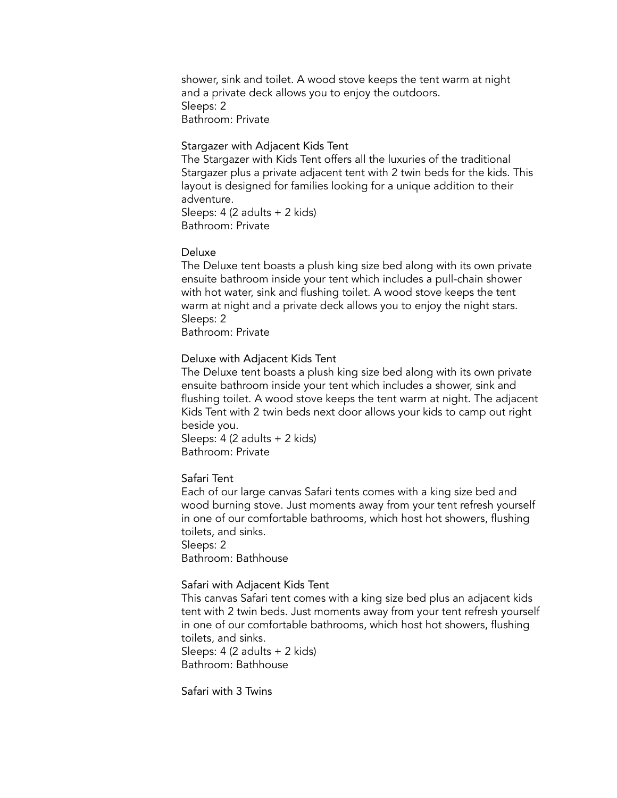shower, sink and toilet. A wood stove keeps the tent warm at night and a private deck allows you to enjoy the outdoors. Sleeps: 2 Bathroom: Private

#### Stargazer with Adjacent Kids Tent

The Stargazer with Kids Tent offers all the luxuries of the traditional Stargazer plus a private adjacent tent with 2 twin beds for the kids. This layout is designed for families looking for a unique addition to their adventure. Sleeps: 4 (2 adults + 2 kids)

Bathroom: Private

#### Deluxe

The Deluxe tent boasts a plush king size bed along with its own private ensuite bathroom inside your tent which includes a pull-chain shower with hot water, sink and flushing toilet. A wood stove keeps the tent warm at night and a private deck allows you to enjoy the night stars. Sleeps: 2 Bathroom: Private

#### Deluxe with Adjacent Kids Tent

The Deluxe tent boasts a plush king size bed along with its own private ensuite bathroom inside your tent which includes a shower, sink and flushing toilet. A wood stove keeps the tent warm at night. The adjacent Kids Tent with 2 twin beds next door allows your kids to camp out right beside you.

Sleeps: 4 (2 adults + 2 kids) Bathroom: Private

# Safari Tent

Each of our large canvas Safari tents comes with a king size bed and wood burning stove. Just moments away from your tent refresh yourself in one of our comfortable bathrooms, which host hot showers, flushing toilets, and sinks.

Sleeps: 2 Bathroom: Bathhouse

#### Safari with Adjacent Kids Tent

This canvas Safari tent comes with a king size bed plus an adjacent kids tent with 2 twin beds. Just moments away from your tent refresh yourself in one of our comfortable bathrooms, which host hot showers, flushing toilets, and sinks.

Sleeps: 4 (2 adults + 2 kids) Bathroom: Bathhouse

Safari with 3 Twins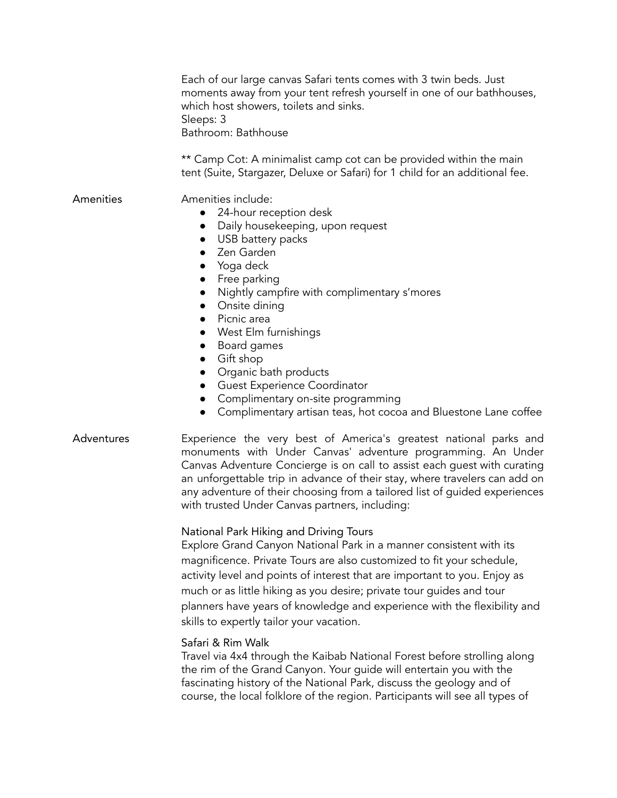Each of our large canvas Safari tents comes with 3 twin beds. Just moments away from your tent refresh yourself in one of our bathhouses, which host showers, toilets and sinks. Sleeps: 3 Bathroom: Bathhouse

\*\* Camp Cot: A minimalist camp cot can be provided within the main tent (Suite, Stargazer, Deluxe or Safari) for 1 child for an additional fee.

Amenities Amenities include:

- 24-hour reception desk
- Daily housekeeping, upon request
- USB battery packs
- Zen Garden
- Yoga deck
- Free parking
- Nightly campfire with complimentary s'mores
- Onsite dining
- Picnic area
- West Elm furnishings
- Board games
- Gift shop
- Organic bath products
- Guest Experience Coordinator
- Complimentary on-site programming
- Complimentary artisan teas, hot cocoa and Bluestone Lane coffee
- Adventures Experience the very best of America's greatest national parks and monuments with Under Canvas' adventure programming. An Under Canvas Adventure Concierge is on call to assist each guest with curating an unforgettable trip in advance of their stay, where travelers can add on any adventure of their choosing from a tailored list of guided experiences with trusted Under Canvas partners, including:

## National Park Hiking and Driving Tours

Explore Grand Canyon National Park in a manner consistent with its magnificence. Private Tours are also customized to fit your schedule, activity level and points of interest that are important to you. Enjoy as much or as little hiking as you desire; private tour guides and tour planners have years of knowledge and experience with the flexibility and skills to expertly tailor your vacation.

## Safari & Rim Walk

Travel via 4x4 through the Kaibab National Forest before strolling along the rim of the Grand Canyon. Your guide will entertain you with the fascinating history of the National Park, discuss the geology and of course, the local folklore of the region. Participants will see all types of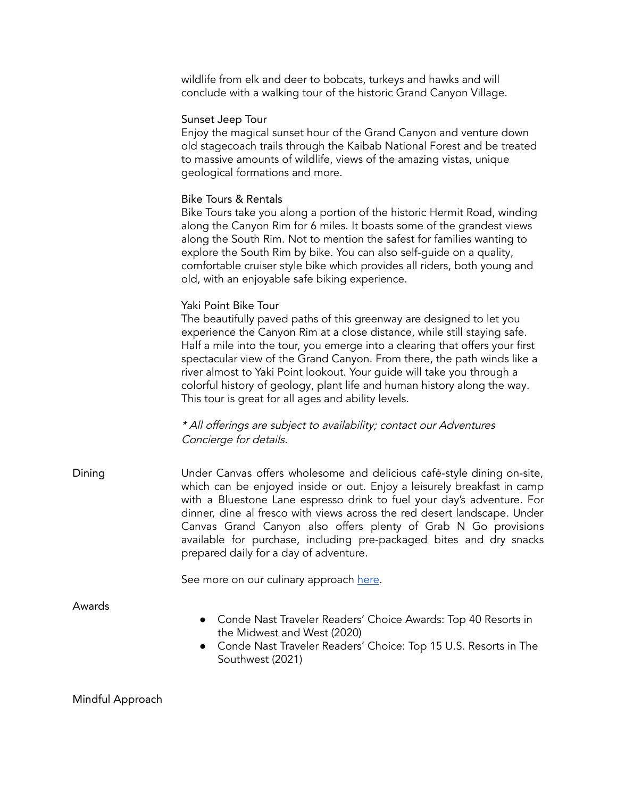wildlife from elk and deer to bobcats, turkeys and hawks and will conclude with a walking tour of the historic Grand Canyon Village.

## Sunset Jeep Tour

Enjoy the magical sunset hour of the Grand Canyon and venture down old stagecoach trails through the Kaibab National Forest and be treated to massive amounts of wildlife, views of the amazing vistas, unique geological formations and more.

## Bike Tours & Rentals

Bike Tours take you along a portion of the historic Hermit Road, winding along the Canyon Rim for 6 miles. It boasts some of the grandest views along the South Rim. Not to mention the safest for families wanting to explore the South Rim by bike. You can also self-guide on a quality, comfortable cruiser style bike which provides all riders, both young and old, with an enjoyable safe biking experience.

# Yaki Point Bike Tour

The beautifully paved paths of this greenway are designed to let you experience the Canyon Rim at a close distance, while still staying safe. Half a mile into the tour, you emerge into a clearing that offers your first spectacular view of the Grand Canyon. From there, the path winds like a river almost to Yaki Point lookout. Your guide will take you through a colorful history of geology, plant life and human history along the way. This tour is great for all ages and ability levels.

\* All offerings are subject to availability; contact our Adventures Concierge for details.

Dining Under Canvas offers wholesome and delicious café-style dining on-site, which can be enjoyed inside or out. Enjoy a leisurely breakfast in camp with a Bluestone Lane espresso drink to fuel your day's adventure. For dinner, dine al fresco with views across the red desert landscape. Under Canvas Grand Canyon also offers plenty of Grab N Go provisions available for purchase, including pre-packaged bites and dry snacks prepared daily for a day of adventure.

See more on our culinary approach [here](https://www.undercanvas.com/culinary/).

Awards

- Conde Nast Traveler Readers' Choice Awards: Top 40 Resorts in the Midwest and West (2020)
- Conde Nast Traveler Readers' Choice: Top 15 U.S. Resorts in The Southwest (2021)

Mindful Approach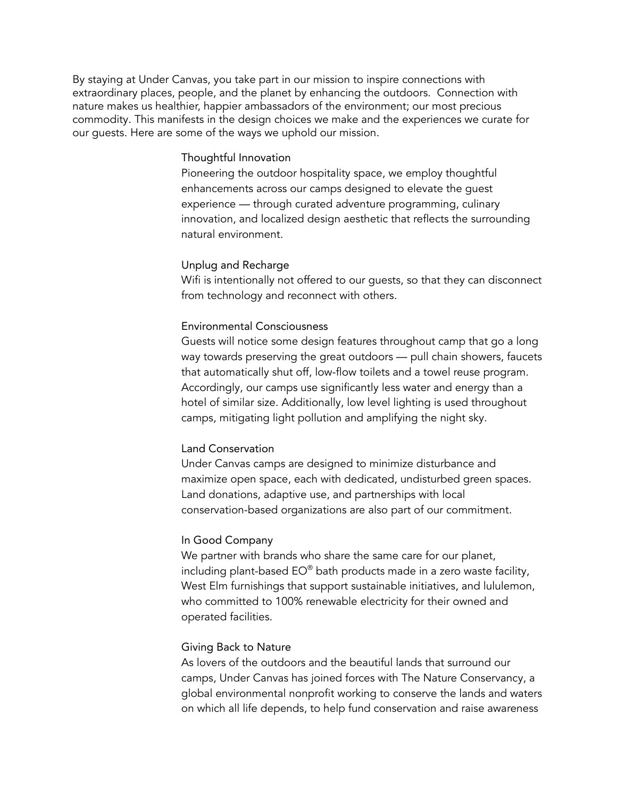By staying at Under Canvas, you take part in our mission to inspire connections with extraordinary places, people, and the planet by enhancing the outdoors. Connection with nature makes us healthier, happier ambassadors of the environment; our most precious commodity. This manifests in the design choices we make and the experiences we curate for our guests. Here are some of the ways we uphold our mission.

#### Thoughtful Innovation

Pioneering the outdoor hospitality space, we employ thoughtful enhancements across our camps designed to elevate the guest experience — through curated adventure programming, culinary innovation, and localized design aesthetic that reflects the surrounding natural environment.

#### Unplug and Recharge

Wifi is intentionally not offered to our guests, so that they can disconnect from technology and reconnect with others.

## Environmental Consciousness

Guests will notice some design features throughout camp that go a long way towards preserving the great outdoors — pull chain showers, faucets that automatically shut off, low-flow toilets and a towel reuse program. Accordingly, our camps use significantly less water and energy than a hotel of similar size. Additionally, low level lighting is used throughout camps, mitigating light pollution and amplifying the night sky.

# Land Conservation

Under Canvas camps are designed to minimize disturbance and maximize open space, each with dedicated, undisturbed green spaces. Land donations, adaptive use, and partnerships with local conservation-based organizations are also part of our commitment.

## In Good Company

We partner with brands who share the same care for our planet, including plant-based EO® bath products made in a zero waste facility, West Elm furnishings that support sustainable initiatives, and lululemon, who committed to 100% renewable electricity for their owned and operated facilities.

## Giving Back to Nature

As lovers of the outdoors and the beautiful lands that surround our camps, Under Canvas has joined forces with The Nature Conservancy, a global environmental nonprofit working to conserve the lands and waters on which all life depends, to help fund conservation and raise awareness